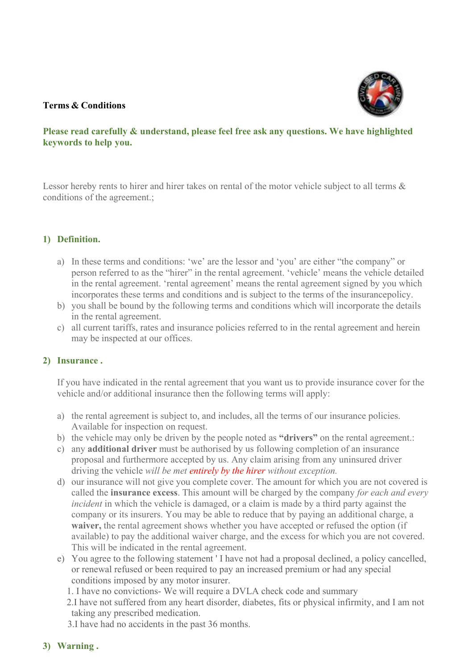## **Terms & Conditions**



# **Please read carefully & understand, please feel free ask any questions. We have highlighted keywords to help you.**

Lessor hereby rents to hirer and hirer takes on rental of the motor vehicle subject to all terms & conditions of the agreement.;

## **1) Definition.**

- a) In these terms and conditions: 'we' are the lessor and 'you' are either "the company" or person referred to as the "hirer" in the rental agreement. 'vehicle' means the vehicle detailed in the rental agreement. 'rental agreement' means the rental agreement signed by you which incorporates these terms and conditions and is subject to the terms of the insurancepolicy.
- b) you shall be bound by the following terms and conditions which will incorporate the details in the rental agreement.
- c) all current tariffs, rates and insurance policies referred to in the rental agreement and herein may be inspected at our offices.

## **2) Insurance .**

If you have indicated in the rental agreement that you want us to provide insurance cover for the vehicle and/or additional insurance then the following terms will apply:

- a) the rental agreement is subject to, and includes, all the terms of our insurance policies. Available for inspection on request.
- b) the vehicle may only be driven by the people noted as **"drivers"** on the rental agreement.:
- c) any **additional driver** must be authorised by us following completion of an insurance proposal and furthermore accepted by us. Any claim arising from any uninsured driver driving the vehicle *will be met entirely by the hirer without exception.*
- d) our insurance will not give you complete cover. The amount for which you are not covered is called the **insurance excess**. This amount will be charged by the company *for each and every incident* in which the vehicle is damaged, or a claim is made by a third party against the company or its insurers. You may be able to reduce that by paying an additional charge, a **waiver,** the rental agreement shows whether you have accepted or refused the option (if available) to pay the additional waiver charge, and the excess for which you are not covered. This will be indicated in the rental agreement.
- e) You agree to the following statement ' I have not had a proposal declined, a policy cancelled, or renewal refused or been required to pay an increased premium or had any special conditions imposed by any motor insurer.
	- 1. I have no convictions- We will require a DVLA check code and summary
	- 2.I have not suffered from any heart disorder, diabetes, fits or physical infirmity, and I am not taking any prescribed medication.
	- 3.I have had no accidents in the past 36 months.

# **3) Warning .**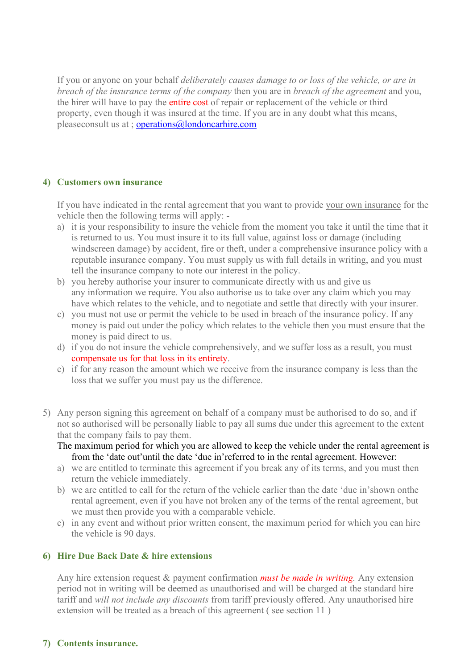If you or anyone on your behalf *deliberately causes damage to or loss of the vehicle, or are in breach of the insurance terms of the company* then you are in *breach of the agreement* and you, the hirer will have to pay the entire cost of repair or replacement of the vehicle or third property, even though it was insured at the time. If you are in any doubt what this means, pleaseconsult us at ; [operations@londoncarhire.com](mailto:operations@londoncarhire.com)

## **4) Customers own insurance**

If you have indicated in the rental agreement that you want to provide your own insurance for the vehicle then the following terms will apply: -

- a) it is your responsibility to insure the vehicle from the moment you take it until the time that it is returned to us. You must insure it to its full value, against loss or damage (including windscreen damage) by accident, fire or theft, under a comprehensive insurance policy with a reputable insurance company. You must supply us with full details in writing, and you must tell the insurance company to note our interest in the policy.
- b) you hereby authorise your insurer to communicate directly with us and give us any information we require. You also authorise us to take over any claim which you may have which relates to the vehicle, and to negotiate and settle that directly with your insurer.
- c) you must not use or permit the vehicle to be used in breach of the insurance policy. If any money is paid out under the policy which relates to the vehicle then you must ensure that the money is paid direct to us.
- d) if you do not insure the vehicle comprehensively, and we suffer loss as a result, you must compensate us for that loss in its entirety.
- e) if for any reason the amount which we receive from the insurance company is less than the loss that we suffer you must pay us the difference.
- 5) Any person signing this agreement on behalf of a company must be authorised to do so, and if not so authorised will be personally liable to pay all sums due under this agreement to the extent that the company fails to pay them.
	- The maximum period for which you are allowed to keep the vehicle under the rental agreement is from the 'date out'until the date 'due in'referred to in the rental agreement. However:
	- a) we are entitled to terminate this agreement if you break any of its terms, and you must then return the vehicle immediately.
	- b) we are entitled to call for the return of the vehicle earlier than the date 'due in'shown onthe rental agreement, even if you have not broken any of the terms of the rental agreement, but we must then provide you with a comparable vehicle.
	- c) in any event and without prior written consent, the maximum period for which you can hire the vehicle is 90 days.

## **6) Hire Due Back Date & hire extensions**

Any hire extension request & payment confirmation *must be made in writing.* Any extension period not in writing will be deemed as unauthorised and will be charged at the standard hire tariff and *will not include any discounts* from tariff previously offered. Any unauthorised hire extension will be treated as a breach of this agreement ( see section 11 )

# **7) Contents insurance.**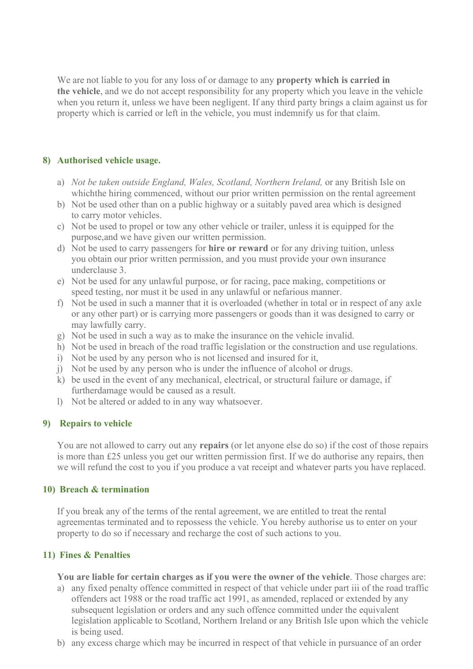We are not liable to you for any loss of or damage to any **property which is carried in the vehicle**, and we do not accept responsibility for any property which you leave in the vehicle when you return it, unless we have been negligent. If any third party brings a claim against us for property which is carried or left in the vehicle, you must indemnify us for that claim.

## **8) Authorised vehicle usage.**

- a) *Not be taken outside England, Wales, Scotland, Northern Ireland,* or any British Isle on whichthe hiring commenced, without our prior written permission on the rental agreement
- b) Not be used other than on a public highway or a suitably paved area which is designed to carry motor vehicles.
- c) Not be used to propel or tow any other vehicle or trailer, unless it is equipped for the purpose,and we have given our written permission.
- d) Not be used to carry passengers for **hire or reward** or for any driving tuition, unless you obtain our prior written permission, and you must provide your own insurance underclause 3.
- e) Not be used for any unlawful purpose, or for racing, pace making, competitions or speed testing, nor must it be used in any unlawful or nefarious manner.
- f) Not be used in such a manner that it is overloaded (whether in total or in respect of any axle or any other part) or is carrying more passengers or goods than it was designed to carry or may lawfully carry.
- g) Not be used in such a way as to make the insurance on the vehicle invalid.
- h) Not be used in breach of the road traffic legislation or the construction and use regulations.
- i) Not be used by any person who is not licensed and insured for it,
- j) Not be used by any person who is under the influence of alcohol or drugs.
- k) be used in the event of any mechanical, electrical, or structural failure or damage, if furtherdamage would be caused as a result.
- l) Not be altered or added to in any way whatsoever.

## **9) Repairs to vehicle**

You are not allowed to carry out any **repairs** (or let anyone else do so) if the cost of those repairs is more than £25 unless you get our written permission first. If we do authorise any repairs, then we will refund the cost to you if you produce a vat receipt and whatever parts you have replaced.

## **10) Breach & termination**

If you break any of the terms of the rental agreement, we are entitled to treat the rental agreementas terminated and to repossess the vehicle. You hereby authorise us to enter on your property to do so if necessary and recharge the cost of such actions to you.

## **11) Fines & Penalties**

**You are liable for certain charges as if you were the owner of the vehicle**. Those charges are:

- a) any fixed penalty offence committed in respect of that vehicle under part iii of the road traffic offenders act 1988 or the road traffic act 1991, as amended, replaced or extended by any subsequent legislation or orders and any such offence committed under the equivalent legislation applicable to Scotland, Northern Ireland or any British Isle upon which the vehicle is being used.
- b) any excess charge which may be incurred in respect of that vehicle in pursuance of an order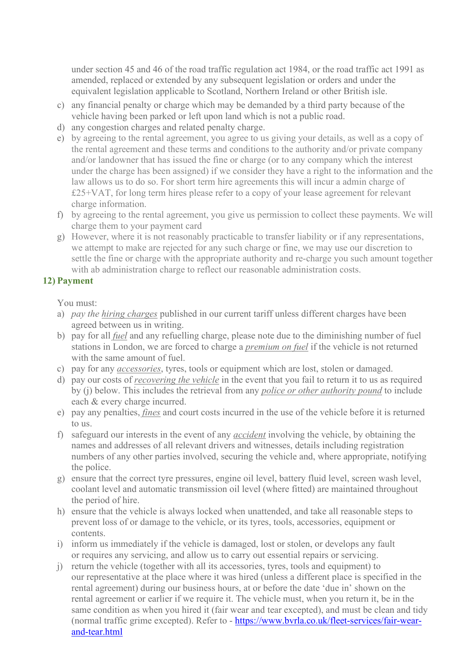under section 45 and 46 of the road traffic regulation act 1984, or the road traffic act 1991 as amended, replaced or extended by any subsequent legislation or orders and under the equivalent legislation applicable to Scotland, Northern Ireland or other British isle.

- c) any financial penalty or charge which may be demanded by a third party because of the vehicle having been parked or left upon land which is not a public road.
- d) any congestion charges and related penalty charge.
- e) by agreeing to the rental agreement, you agree to us giving your details, as well as a copy of the rental agreement and these terms and conditions to the authority and/or private company and/or landowner that has issued the fine or charge (or to any company which the interest under the charge has been assigned) if we consider they have a right to the information and the law allows us to do so. For short term hire agreements this will incur a admin charge of £25+VAT, for long term hires please refer to a copy of your lease agreement for relevant charge information.
- f) by agreeing to the rental agreement, you give us permission to collect these payments. We will charge them to your payment card
- g) However, where it is not reasonably practicable to transfer liability or if any representations, we attempt to make are rejected for any such charge or fine, we may use our discretion to settle the fine or charge with the appropriate authority and re-charge you such amount together with ab administration charge to reflect our reasonable administration costs.

# **12) Payment**

You must:

- a) *pay the hiring charges* published in our current tariff unless different charges have been agreed between us in writing.
- b) pay for all *fuel* and any refuelling charge, please note due to the diminishing number of fuel stations in London, we are forced to charge a *premium on fuel* if the vehicle is not returned with the same amount of fuel.
- c) pay for any *accessories*, tyres, tools or equipment which are lost, stolen or damaged.
- d) pay our costs of *recovering the vehicle* in the event that you fail to return it to us as required by (j) below. This includes the retrieval from any *police or other authority pound* to include each & every charge incurred.
- e) pay any penalties, *fines* and court costs incurred in the use of the vehicle before it is returned to us.
- f) safeguard our interests in the event of any *accident* involving the vehicle, by obtaining the names and addresses of all relevant drivers and witnesses, details including registration numbers of any other parties involved, securing the vehicle and, where appropriate, notifying the police.
- g) ensure that the correct tyre pressures, engine oil level, battery fluid level, screen wash level, coolant level and automatic transmission oil level (where fitted) are maintained throughout the period of hire.
- h) ensure that the vehicle is always locked when unattended, and take all reasonable steps to prevent loss of or damage to the vehicle, or its tyres, tools, accessories, equipment or contents.
- i) inform us immediately if the vehicle is damaged, lost or stolen, or develops any fault or requires any servicing, and allow us to carry out essential repairs or servicing.
- j) return the vehicle (together with all its accessories, tyres, tools and equipment) to our representative at the place where it was hired (unless a different place is specified in the rental agreement) during our business hours, at or before the date 'due in' shown on the rental agreement or earlier if we require it. The vehicle must, when you return it, be in the same condition as when you hired it (fair wear and tear excepted), and must be clean and tidy (normal traffic grime excepted). Refer to - [https://www.bvrla.co.uk/fleet-services/fair-wear](https://www.bvrla.co.uk/fleet-services/fair-wear-and-tear.html)[and-tear.html](https://www.bvrla.co.uk/fleet-services/fair-wear-and-tear.html)